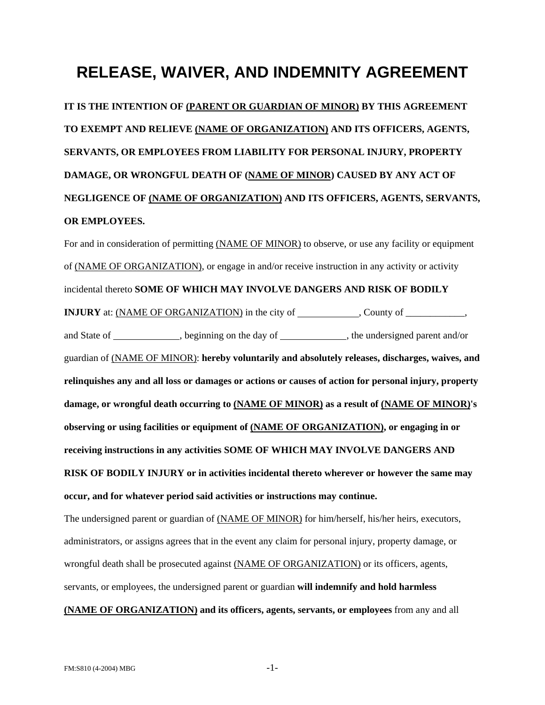## **RELEASE, WAIVER, AND INDEMNITY AGREEMENT**

**IT IS THE INTENTION OF (PARENT OR GUARDIAN OF MINOR) BY THIS AGREEMENT TO EXEMPT AND RELIEVE (NAME OF ORGANIZATION) AND ITS OFFICERS, AGENTS, SERVANTS, OR EMPLOYEES FROM LIABILITY FOR PERSONAL INJURY, PROPERTY DAMAGE, OR WRONGFUL DEATH OF (NAME OF MINOR) CAUSED BY ANY ACT OF NEGLIGENCE OF (NAME OF ORGANIZATION) AND ITS OFFICERS, AGENTS, SERVANTS, OR EMPLOYEES.**

For and in consideration of permitting (NAME OF MINOR) to observe, or use any facility or equipment of (NAME OF ORGANIZATION), or engage in and/or receive instruction in any activity or activity incidental thereto **SOME OF WHICH MAY INVOLVE DANGERS AND RISK OF BODILY INJURY** at: (NAME OF ORGANIZATION) in the city of \_\_\_\_\_\_\_\_\_\_, County of \_\_\_\_\_\_\_\_\_, and State of , beginning on the day of , the undersigned parent and/or guardian of (NAME OF MINOR): **hereby voluntarily and absolutely releases, discharges, waives, and relinquishes any and all loss or damages or actions or causes of action for personal injury, property damage, or wrongful death occurring to (NAME OF MINOR) as a result of (NAME OF MINOR)'s observing or using facilities or equipment of (NAME OF ORGANIZATION), or engaging in or receiving instructions in any activities SOME OF WHICH MAY INVOLVE DANGERS AND RISK OF BODILY INJURY or in activities incidental thereto wherever or however the same may occur, and for whatever period said activities or instructions may continue.** The undersigned parent or guardian of (NAME OF MINOR) for him/herself, his/her heirs, executors, administrators, or assigns agrees that in the event any claim for personal injury, property damage, or wrongful death shall be prosecuted against (NAME OF ORGANIZATION) or its officers, agents, servants, or employees, the undersigned parent or guardian **will indemnify and hold harmless**

**(NAME OF ORGANIZATION) and its officers, agents, servants, or employees** from any and all